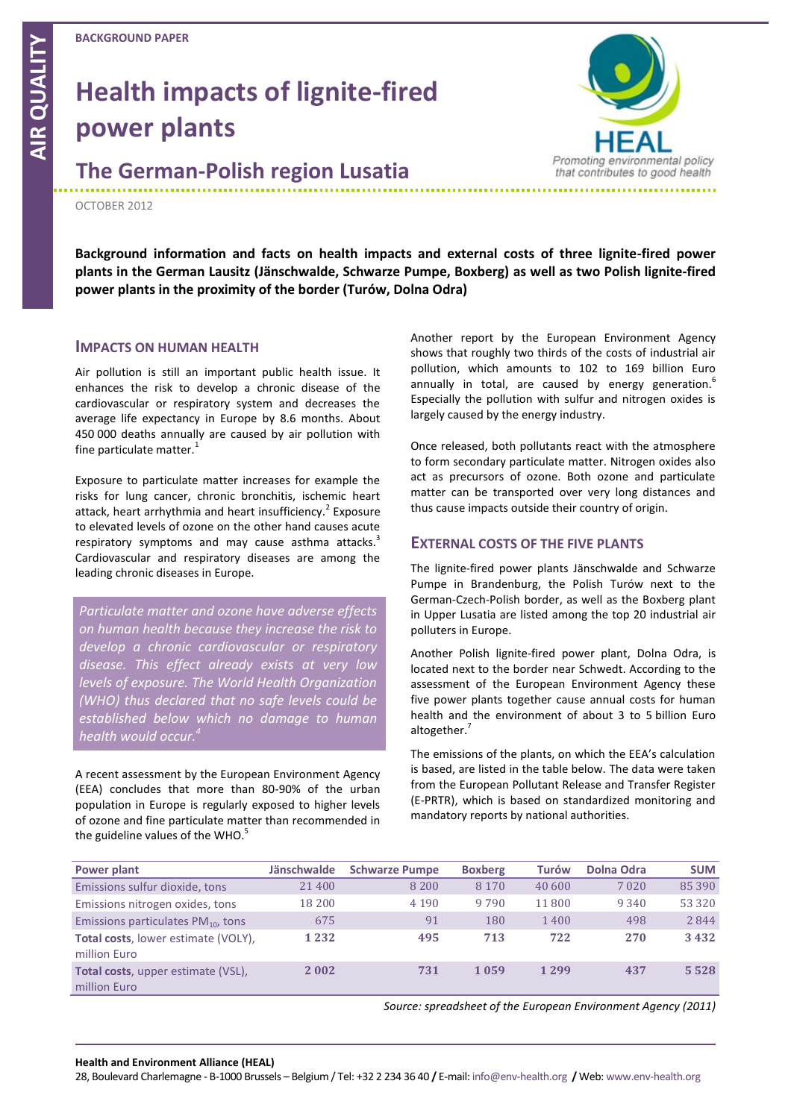# **Health impacts of lignite-fired power plants**

**The German-Polish region Lusatia**

#### OCTOBER 2012

**Background information and facts on health impacts and external costs of three lignite-fired power plants in the German Lausitz (Jänschwalde, Schwarze Pumpe, Boxberg) as well as two Polish lignite-fired power plants in the proximity of the border (Turów, Dolna Odra)**

#### **IMPACTS ON HUMAN HEALTH**

Air pollution is still an important public health issue. It enhances the risk to develop a chronic disease of the cardiovascular or respiratory system and decreases the average life expectancy in Europe by 8.6 months. About 450 000 deaths annually are caused by air pollution with fine particulate matter.<sup>1</sup>

Exposure to particulate matter increases for example the risks for lung cancer, chronic bronchitis, ischemic heart attack, heart arrhythmia and heart insufficiency.<sup>2</sup> Exposure to elevated levels of ozone on the other hand causes acute respiratory symptoms and may cause asthma attacks.<sup>3</sup> Cardiovascular and respiratory diseases are among the leading chronic diseases in Europe.

*Particulate matter and ozone have adverse effects on human health because they increase the risk to develop a chronic cardiovascular or respiratory disease. This effect already exists at very low levels of exposure. The World Health Organization (WHO) thus declared that no safe levels could be established below which no damage to human health would occur.<sup>4</sup>*

A recent assessment by the European Environment Agency (EEA) concludes that more than 80-90% of the urban population in Europe is regularly exposed to higher levels of ozone and fine particulate matter than recommended in the guideline values of the WHO.<sup>5</sup>

Another report by the European Environment Agency shows that roughly two thirds of the costs of industrial air pollution, which amounts to 102 to 169 billion Euro annually in total, are caused by energy generation.<sup>6</sup> Especially the pollution with sulfur and nitrogen oxides is largely caused by the energy industry.

Once released, both pollutants react with the atmosphere to form secondary particulate matter. Nitrogen oxides also act as precursors of ozone. Both ozone and particulate matter can be transported over very long distances and thus cause impacts outside their country of origin.

#### **EXTERNAL COSTS OF THE FIVE PLANTS**

The lignite-fired power plants Jänschwalde and Schwarze Pumpe in Brandenburg, the Polish Turów next to the German-Czech-Polish border, as well as the Boxberg plant in Upper Lusatia are listed among the top 20 industrial air polluters in Europe.

Another Polish lignite-fired power plant, Dolna Odra, is located next to the border near Schwedt. According to the assessment of the European Environment Agency these five power plants together cause annual costs for human health and the environment of about 3 to 5 billion Euro altogether.<sup>7</sup>

The emissions of the plants, on which the EEA's calculation is based, are listed in the table below. The data were taken from the European Pollutant Release and Transfer Register (E-PRTR), which is based on standardized monitoring and mandatory reports by national authorities.

| Power plant                                                | <b>Jänschwalde</b> | <b>Schwarze Pumpe</b> | <b>Boxberg</b> | <b>Turów</b> | Dolna Odra | <b>SUM</b> |
|------------------------------------------------------------|--------------------|-----------------------|----------------|--------------|------------|------------|
| Emissions sulfur dioxide, tons                             | 21400              | 8 2 0 0               | 8 1 7 0        | 40 600       | 7 0 2 0    | 85 390     |
| Emissions nitrogen oxides, tons                            | 18 200             | 4 1 9 0               | 9790           | 11 800       | 9 3 4 0    | 53 3 2 0   |
| Emissions particulates $PM_{10}$ , tons                    | 675                | 91                    | 180            | 1400         | 498        | 2844       |
| <b>Total costs, lower estimate (VOLY),</b><br>million Euro | 1 2 3 2            | 495                   | 713            | 722          | 270        | 3432       |
| <b>Total costs</b> , upper estimate (VSL),<br>million Euro | 2 0 0 2            | 731                   | 1059           | 1 2 9 9      | 437        | 5528       |

*Source: spreadsheet of the European Environment Agency (2011)*

#### **Health and Environment Alliance (HEAL)**

28, Boulevard Charlemagne - B-1000 Brussels – Belgium / Tel: +32 2 234 36 40 **/** E-mail: info@env-health.org **/** Web: www.env-health.org

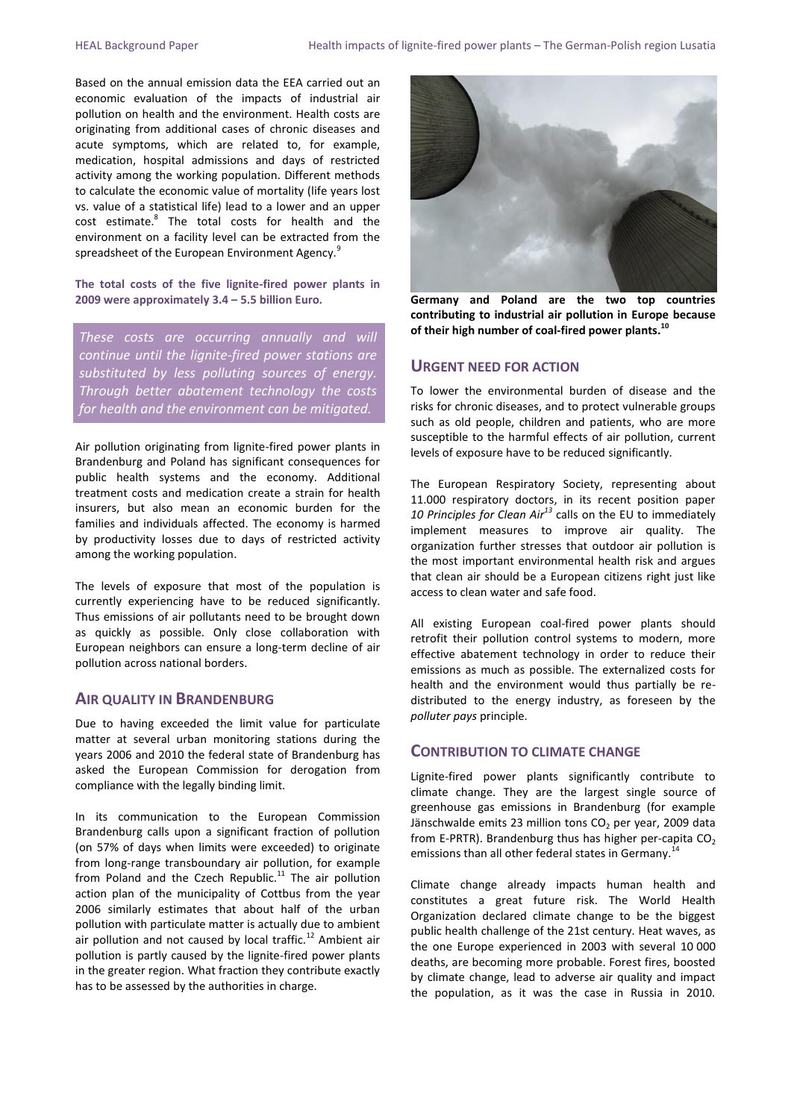Based on the annual emission data the EEA carried out an economic evaluation of the impacts of industrial air pollution on health and the environment. Health costs are originating from additional cases of chronic diseases and acute symptoms, which are related to, for example, medication, hospital admissions and days of restricted activity among the working population. Different methods to calculate the economic value of mortality (life years lost vs. value of a statistical life) lead to a lower and an upper cost estimate.<sup>8</sup> The total costs for health and the environment on a facility level can be extracted from the spreadsheet of the European Environment Agency.<sup>9</sup>

**The total costs of the five lignite-fired power plants in 2009 were approximately 3.4 – 5.5 billion Euro.**

*These costs are occurring annually and will continue until the lignite-fired power stations are substituted by less polluting sources of energy. Through better abatement technology the costs for health and the environment can be mitigated.* 

Air pollution originating from lignite-fired power plants in Brandenburg and Poland has significant consequences for public health systems and the economy. Additional treatment costs and medication create a strain for health insurers, but also mean an economic burden for the families and individuals affected. The economy is harmed by productivity losses due to days of restricted activity among the working population.

The levels of exposure that most of the population is currently experiencing have to be reduced significantly. Thus emissions of air pollutants need to be brought down as quickly as possible. Only close collaboration with European neighbors can ensure a long-term decline of air pollution across national borders.

#### **AIR QUALITY IN BRANDENBURG**

Due to having exceeded the limit value for particulate matter at several urban monitoring stations during the years 2006 and 2010 the federal state of Brandenburg has asked the European Commission for derogation from compliance with the legally binding limit.

In its communication to the European Commission Brandenburg calls upon a significant fraction of pollution (on 57% of days when limits were exceeded) to originate from long-range transboundary air pollution, for example from Poland and the Czech Republic. $^{11}$  The air pollution action plan of the municipality of Cottbus from the year 2006 similarly estimates that about half of the urban pollution with particulate matter is actually due to ambient air pollution and not caused by local traffic.<sup>12</sup> Ambient air pollution is partly caused by the lignite-fired power plants in the greater region. What fraction they contribute exactly has to be assessed by the authorities in charge.



**Germany and Poland are the two top countries contributing to industrial air pollution in Europe because of their high number of coal-fired power plants. 10**

#### **URGENT NEED FOR ACTION**

To lower the environmental burden of disease and the risks for chronic diseases, and to protect vulnerable groups such as old people, children and patients, who are more susceptible to the harmful effects of air pollution, current levels of exposure have to be reduced significantly.

The European Respiratory Society, representing about 11.000 respiratory doctors, in its recent position paper *10 Principles for Clean Air<sup>13</sup>* calls on the EU to immediately implement measures to improve air quality. The organization further stresses that outdoor air pollution is the most important environmental health risk and argues that clean air should be a European citizens right just like access to clean water and safe food.

All existing European coal-fired power plants should retrofit their pollution control systems to modern, more effective abatement technology in order to reduce their emissions as much as possible. The externalized costs for health and the environment would thus partially be redistributed to the energy industry, as foreseen by the *polluter pays* principle.

#### **CONTRIBUTION TO CLIMATE CHANGE**

Lignite-fired power plants significantly contribute to climate change. They are the largest single source of greenhouse gas emissions in Brandenburg (for example Jänschwalde emits 23 million tons  $CO<sub>2</sub>$  per year, 2009 data from E-PRTR). Brandenburg thus has higher per-capita  $CO<sub>2</sub>$ emissions than all other federal states in Germany.<sup>14</sup>

Climate change already impacts human health and constitutes a great future risk. The World Health Organization declared climate change to be the biggest public health challenge of the 21st century. Heat waves, as the one Europe experienced in 2003 with several 10 000 deaths, are becoming more probable. Forest fires, boosted by climate change, lead to adverse air quality and impact the population, as it was the case in Russia in 2010.